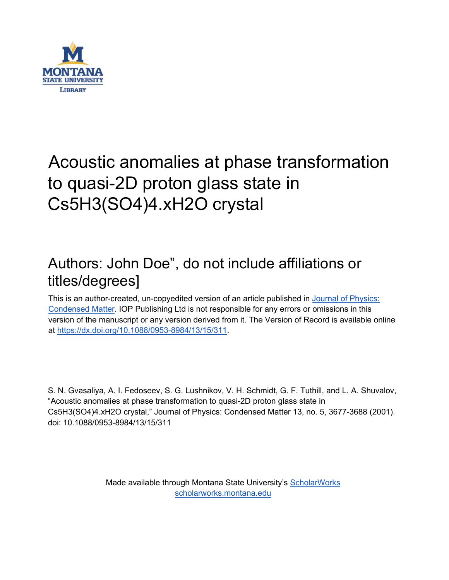

# Acoustic anomalies at phase transformation to quasi-2D proton glass state in Cs5H3(SO4)4.xH2O crystal

## Authors: John Doe", do not include affiliations or titles/degrees]

This is an author-created, un-copyedited version of an article published in [Journal of](https://iopscience.iop.org/journal/0953-8984) Physics: [Condensed Matter.](https://iopscience.iop.org/journal/0953-8984) IOP Publishing Ltd is not responsible for any errors or omissions in this version of the manuscript or any version derived from it. The Version of Record is available online at [https://dx.doi.org/10.1088/0953-8984/13/15/311.](https://dx.doi.org/10.1088/0953-8984/13/15/311)

S. N. Gvasaliya, A. I. Fedoseev, S. G. Lushnikov, V. H. Schmidt, G. F. Tuthill, and L. A. Shuvalov, "Acoustic anomalies at phase transformation to quasi-2D proton glass state in Cs5H3(SO4)4.xH2O crystal," Journal of Physics: Condensed Matter 13, no. 5, 3677-3688 (2001). doi: 10.1088/0953-8984/13/15/311

> Made available through Montana State University's [ScholarWorks](http://scholarworks.montana.edu/) [scholarworks.montana.edu](http://scholarworks.montana.edu/)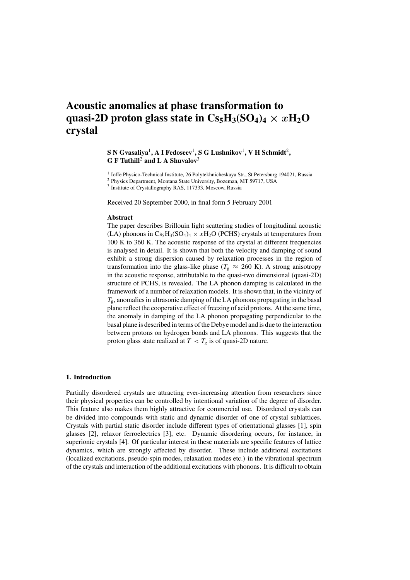### **Acoustic anomalies at phase transformation to** quasi-2D proton glass state in  $Cs_5H_3(SO_4)_4 \times xH_2O$ **crystal**

#### **S N Gvasaliya**1**,AIFedoseev**1**, S G Lushnikov**1**, V H Schmidt**2**, G F Tuthill**<sup>2</sup> **and L A Shuvalov**<sup>3</sup>

<sup>1</sup> Ioffe Physico-Technical Institute, 26 Polytekhnicheskaya Str., St Petersburg 194021, Russia

<sup>2</sup> Physics Department, Montana State University, Bozeman, MT 59717, USA

<sup>3</sup> Institute of Crystallography RAS, 117333, Moscow, Russia

Received 20 September 2000, in final form 5 February 2001

#### **Abstract**

The paper describes Brillouin light scattering studies of longitudinal acoustic (LA) phonons in  $Cs_5H_3(SO_4)_4 \times xH_2O$  (PCHS) crystals at temperatures from 100 K to 360 K. The acoustic response of the crystal at different frequencies is analysed in detail. It is shown that both the velocity and damping of sound exhibit a strong dispersion caused by relaxation processes in the region of transformation into the glass-like phase ( $T_g \approx 260$  K). A strong anisotropy in the acoustic response, attributable to the quasi-two dimensional (quasi-2D) structure of PCHS, is revealed. The LA phonon damping is calculated in the framework of a number of relaxation models. It is shown that, in the vicinity of  $T_{\rm g}$ , anomalies in ultrasonic damping of the LA phonons propagating in the basal plane reflect the cooperative effect of freezing of acid protons. At the same time, the anomaly in damping of the LA phonon propagating perpendicular to the basal plane is described in terms of the Debye model and is due to the interaction between protons on hydrogen bonds and LA phonons. This suggests that the proton glass state realized at  $T < T_g$  is of quasi-2D nature.

#### **1. Introduction**

Partially disordered crystals are attracting ever-increasing attention from researchers since their physical properties can be controlled by intentional variation of the degree of disorder. This feature also makes them highly attractive for commercial use. Disordered crystals can be divided into compounds with static and dynamic disorder of one of crystal sublattices. Crystals with partial static disorder include different types of orientational glasses [1], spin glasses [2], relaxor ferroelectrics [3], etc. Dynamic disordering occurs, for instance, in superionic crystals [4]. Of particular interest in these materials are specific features of lattice dynamics, which are strongly affected by disorder. These include additional excitations (localized excitations, pseudo-spin modes, relaxation modes etc.) in the vibrational spectrum of the crystals and interaction of the additional excitations with phonons. It is difficult to obtain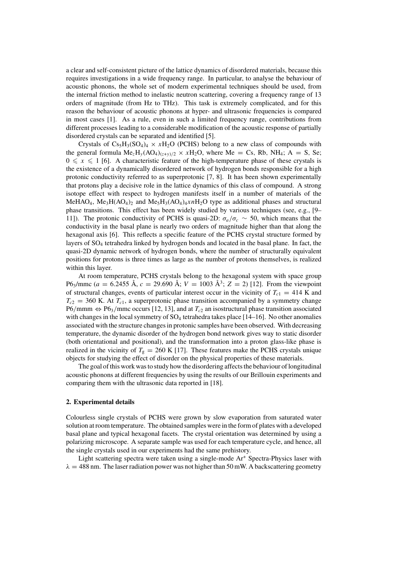a clear and self-consistent picture of the lattice dynamics of disordered materials, because this requires investigations in a wide frequency range. In particular, to analyse the behaviour of acoustic phonons, the whole set of modern experimental techniques should be used, from the internal friction method to inelastic neutron scattering, covering a frequency range of 13 orders of magnitude (from Hz to THz). This task is extremely complicated, and for this reason the behaviour of acoustic phonons at hyper- and ultrasonic frequencies is compared in most cases [1]. As a rule, even in such a limited frequency range, contributions from different processes leading to a considerable modification of the acoustic response of partially disordered crystals can be separated and identified [5].

Crystals of  $Cs_5H_3(SO_4)_4 \times xH_2O$  (PCHS) belong to a new class of compounds with the general formula  $Me<sub>z</sub>H<sub>y</sub>(AO<sub>4</sub>)<sub>(z+y)/2</sub> \times xH<sub>2</sub>O$ , where Me = Cs, Rb, NH<sub>4</sub>; A = S, Se;  $0 \leq x \leq 1$  [6]. A characteristic feature of the high-temperature phase of these crystals is the existence of a dynamically disordered network of hydrogen bonds responsible for a high protonic conductivity referred to as superprotonic [7, 8]. It has been shown experimentally that protons play a decisive role in the lattice dynamics of this class of compound. A strong isotope effect with respect to hydrogen manifests itself in a number of materials of the MeHAO<sub>4</sub>, Me<sub>3</sub>H(AO<sub>4</sub>)<sub>2</sub> and Me<sub>5</sub>H<sub>3</sub>(AO<sub>4</sub>)<sub>4</sub>xnH<sub>2</sub>O type as additional phases and structural phase transitions. This effect has been widely studied by various techniques (see, e.g., [9– 11]). The protonic conductivity of PCHS is quasi-2D:  $\sigma_a/\sigma_c \sim 50$ , which means that the conductivity in the basal plane is nearly two orders of magnitude higher than that along the hexagonal axis [6]. This reflects a specific feature of the PCHS crystal structure formed by layers of SO4 tetrahedra linked by hydrogen bonds and located in the basal plane. In fact, the quasi-2D dynamic network of hydrogen bonds, where the number of structurally equivalent positions for protons is three times as large as the number of protons themselves, is realized within this layer.

At room temperature, PCHS crystals belong to the hexagonal system with space group P6<sub>3</sub>/mmc (a = 6.2455 Å, c = 29.690 Å; V = 1003 Å<sup>3</sup>; Z = 2) [12]. From the viewpoint of structural changes, events of particular interest occur in the vicinity of  $T_{c1} = 414$  K and  $T_{c2}$  = 360 K. At  $T_{c1}$ , a superprotonic phase transition accompanied by a symmetry change P6/mmm  $\Leftrightarrow$  P6<sub>3</sub>/mmc occurs [12, 13], and at  $T_{c2}$  an isostructural phase transition associated with changes in the local symmetry of  $SO_4$  tetrahedra takes place [14–16]. No other anomalies associated with the structure changes in protonic samples have been observed. With decreasing temperature, the dynamic disorder of the hydrogen bond network gives way to static disorder (both orientational and positional), and the transformation into a proton glass-like phase is realized in the vicinity of  $T_g = 260 \text{ K}$  [17]. These features make the PCHS crystals unique objects for studying the effect of disorder on the physical properties of these materials.

The goal of this work was to study how the disordering affects the behaviour of longitudinal acoustic phonons at different frequencies by using the results of our Brillouin experiments and comparing them with the ultrasonic data reported in [18].

#### **2. Experimental details**

Colourless single crystals of PCHS were grown by slow evaporation from saturated water solution at room temperature. The obtained samples were in the form of plates with a developed basal plane and typical hexagonal facets. The crystal orientation was determined by using a polarizing microscope. A separate sample was used for each temperature cycle, and hence, all the single crystals used in our experiments had the same prehistory.

Light scattering spectra were taken using a single-mode Ar<sup>+</sup> Spectra-Physics laser with  $\lambda = 488$  nm. The laser radiation power was not higher than 50 mW. A backscattering geometry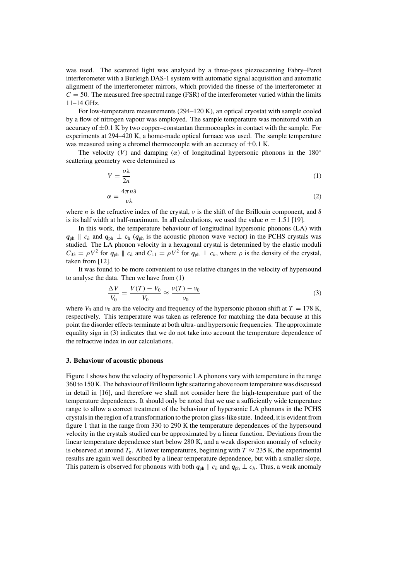was used. The scattered light was analysed by a three-pass piezoscanning Fabry–Perot interferometer with a Burleigh DAS-1 system with automatic signal acquisition and automatic alignment of the interferometer mirrors, which provided the finesse of the interferometer at  $C = 50$ . The measured free spectral range (FSR) of the interferometer varied within the limits 11–14 GHz.

For low-temperature measurements (294–120 K), an optical cryostat with sample cooled by a flow of nitrogen vapour was employed. The sample temperature was monitored with an accuracy of  $\pm 0.1$  K by two copper–constantan thermocouples in contact with the sample. For experiments at 294–420 K, a home-made optical furnace was used. The sample temperature was measured using a chromel thermocouple with an accuracy of  $\pm 0.1$  K.

The velocity (V) and damping ( $\alpha$ ) of longitudinal hypersonic phonons in the 180<sup>°</sup> scattering geometry were determined as

$$
V = \frac{\nu \lambda}{2n} \tag{1}
$$

$$
\alpha = \frac{4\pi n\delta}{\nu\lambda} \tag{2}
$$

where *n* is the refractive index of the crystal,  $\nu$  is the shift of the Brillouin component, and  $\delta$ is its half width at half-maximum. In all calculations, we used the value  $n = 1.51$  [19].

In this work, the temperature behaviour of longitudinal hypersonic phonons (LA) with  $q_{ph}$  ||  $c_h$  and  $q_{ph}$   $\perp$   $c_h$  ( $q_{ph}$  is the acoustic phonon wave vector) in the PCHS crystals was studied. The LA phonon velocity in a hexagonal crystal is determined by the elastic moduli  $C_{33} = \rho V^2$  for  $q_{ph} \parallel c_h$  and  $C_{11} = \rho V^2$  for  $q_{ph} \perp c_h$ , where  $\rho$  is the density of the crystal, taken from [12].

It was found to be more convenient to use relative changes in the velocity of hypersound to analyse the data. Then we have from (1)

$$
\frac{\Delta V}{V_0} = \frac{V(T) - V_0}{V_0} \approx \frac{\nu(T) - \nu_0}{\nu_0}
$$
\n(3)

where  $V_0$  and  $v_0$  are the velocity and frequency of the hypersonic phonon shift at  $T = 178$  K, respectively. This temperature was taken as reference for matching the data because at this point the disorder effects terminate at both ultra- and hypersonic frequencies. The approximate equality sign in (3) indicates that we do not take into account the temperature dependence of the refractive index in our calculations.

#### **3. Behaviour of acoustic phonons**

Figure 1 shows how the velocity of hypersonic LA phonons vary with temperature in the range 360 to 150 K. The behaviour of Brillouin light scattering above room temperature was discussed in detail in [16], and therefore we shall not consider here the high-temperature part of the temperature dependences. It should only be noted that we use a sufficiently wide temperature range to allow a correct treatment of the behaviour of hypersonic LA phonons in the PCHS crystals in the region of a transformation to the proton glass-like state. Indeed, it is evident from figure 1 that in the range from 330 to 290 K the temperature dependences of the hypersound velocity in the crystals studied can be approximated by a linear function. Deviations from the linear temperature dependence start below 280 K, and a weak dispersion anomaly of velocity is observed at around  $T_g$ . At lower temperatures, beginning with  $T \approx 235$  K, the experimental results are again well described by a linear temperature dependence, but with a smaller slope. This pattern is observed for phonons with both  $q_{ph} \parallel c_h$  and  $q_{ph} \perp c_h$ . Thus, a weak anomaly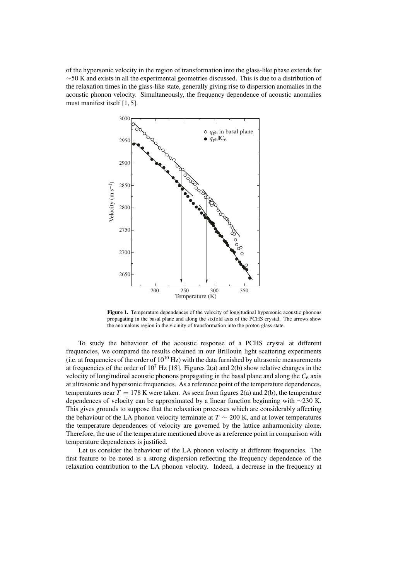of the hypersonic velocity in the region of transformation into the glass-like phase extends for ∼50 K and exists in all the experimental geometries discussed. This is due to a distribution of the relaxation times in the glass-like state, generally giving rise to dispersion anomalies in the acoustic phonon velocity. Simultaneously, the frequency dependence of acoustic anomalies must manifest itself [1, 5].



Figure 1. Temperature dependences of the velocity of longitudinal hypersonic acoustic phonons propagating in the basal plane and along the sixfold axis of the PCHS crystal. The arrows show the anomalous region in the vicinity of transformation into the proton glass state.

To study the behaviour of the acoustic response of a PCHS crystal at different frequencies, we compared the results obtained in our Brillouin light scattering experiments (i.e. at frequencies of the order of  $10^{10}$  Hz) with the data furnished by ultrasonic measurements at frequencies of the order of  $10^7$  Hz [18]. Figures 2(a) and 2(b) show relative changes in the velocity of longitudinal acoustic phonons propagating in the basal plane and along the  $C_6$  axis at ultrasonic and hypersonic frequencies. As a reference point of the temperature dependences, temperatures near  $T = 178$  K were taken. As seen from figures 2(a) and 2(b), the temperature dependences of velocity can be approximated by a linear function beginning with ∼230 K. This gives grounds to suppose that the relaxation processes which are considerably affecting the behaviour of the LA phonon velocity terminate at  $T \sim 200$  K, and at lower temperatures the temperature dependences of velocity are governed by the lattice anharmonicity alone. Therefore, the use of the temperature mentioned above as a reference point in comparison with temperature dependences is justified.

Let us consider the behaviour of the LA phonon velocity at different frequencies. The first feature to be noted is a strong dispersion reflecting the frequency dependence of the relaxation contribution to the LA phonon velocity. Indeed, a decrease in the frequency at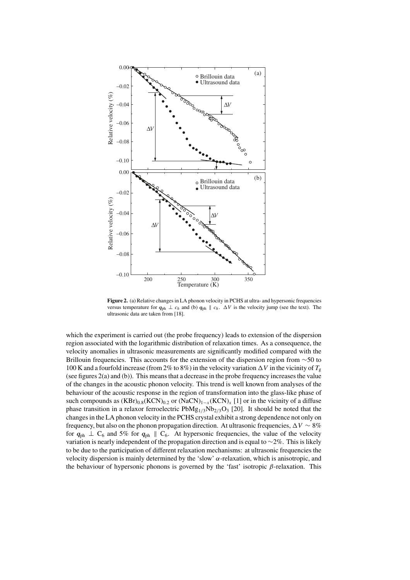

**Figure 2.** (a) Relative changes in LA phonon velocity in PCHS at ultra- and hypersonic frequencies versus temperature for  $q_{ph} \perp c_h$  and (b)  $q_{ph} \parallel c_h$ .  $\Delta V$  is the velocity jump (see the text). The ultrasonic data are taken from [18].

which the experiment is carried out (the probe frequency) leads to extension of the dispersion region associated with the logarithmic distribution of relaxation times. As a consequence, the velocity anomalies in ultrasonic measurements are significantly modified compared with the Brillouin frequencies. This accounts for the extension of the dispersion region from ∼50 to 100 K and a fourfold increase (from 2% to 8%) in the velocity variation  $\Delta V$  in the vicinity of  $T_g$ (see figures 2(a) and (b)). This means that a decrease in the probe frequency increases the value of the changes in the acoustic phonon velocity. This trend is well known from analyses of the behaviour of the acoustic response in the region of transformation into the glass-like phase of such compounds as  $(KBr)_{0.8}(KCN)_{0.2}$  or  $(NaCN)_{1-x}(KCN)_x$  [1] or in the vicinity of a diffuse phase transition in a relaxor ferroelectric  $PbMg_{1/3}Nb_{2/3}O_3$  [20]. It should be noted that the changes in the LA phonon velocity in the PCHS crystal exhibit a strong dependence not only on frequency, but also on the phonon propagation direction. At ultrasonic frequencies,  $\Delta V \sim 8\%$ for  $q_{ph} \perp C_6$  and 5% for  $q_{ph} \parallel C_6$ . At hypersonic frequencies, the value of the velocity variation is nearly independent of the propagation direction and is equal to ∼2%. This is likely to be due to the participation of different relaxation mechanisms: at ultrasonic frequencies the velocity dispersion is mainly determined by the 'slow'  $\alpha$ -relaxation, which is anisotropic, and the behaviour of hypersonic phonons is governed by the 'fast' isotropic  $\beta$ -relaxation. This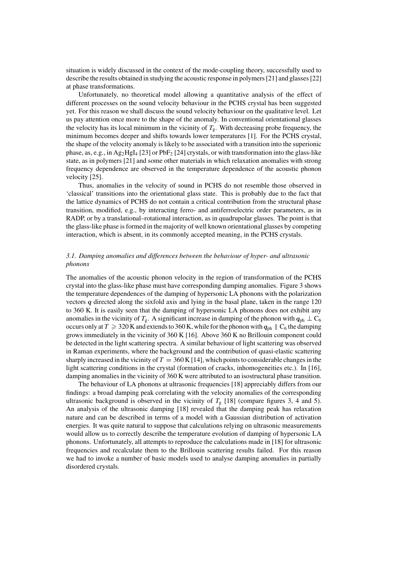situation is widely discussed in the context of the mode-coupling theory, successfully used to describe the results obtained in studying the acoustic response in polymers [21] and glasses [22] at phase transformations.

Unfortunately, no theoretical model allowing a quantitative analysis of the effect of different processes on the sound velocity behaviour in the PCHS crystal has been suggested yet. For this reason we shall discuss the sound velocity behaviour on the qualitative level. Let us pay attention once more to the shape of the anomaly. In conventional orientational glasses the velocity has its local minimum in the vicinity of  $T_g$ . With decreasing probe frequency, the minimum becomes deeper and shifts towards lower temperatures [1]. For the PCHS crystal, the shape of the velocity anomaly is likely to be associated with a transition into the superionic phase, as, e.g., in Ag<sub>2</sub>HgI<sub>4</sub> [23] or PbF<sub>2</sub> [24] crystals, or with transformation into the glass-like state, as in polymers [21] and some other materials in which relaxation anomalies with strong frequency dependence are observed in the temperature dependence of the acoustic phonon velocity [25].

Thus, anomalies in the velocity of sound in PCHS do not resemble those observed in 'classical' transitions into the orientational glass state. This is probably due to the fact that the lattice dynamics of PCHS do not contain a critical contribution from the structural phase transition, modified, e.g., by interacting ferro- and antiferroelectric order parameters, as in RADP, or by a translational–rotational interaction, as in quadrupolar glasses. The point is that the glass-like phase is formed in the majority of well known orientational glasses by competing interaction, which is absent, in its commonly accepted meaning, in the PCHS crystals.

#### *3.1. Damping anomalies and differences between the behaviour of hyper- and ultrasonic phonons*

The anomalies of the acoustic phonon velocity in the region of transformation of the PCHS crystal into the glass-like phase must have corresponding damping anomalies. Figure 3 shows the temperature dependences of the damping of hypersonic LA phonons with the polarization vectors *q* directed along the sixfold axis and lying in the basal plane, taken in the range 120 to 360 K. It is easily seen that the damping of hypersonic LA phonons does not exhibit any anomalies in the vicinity of  $T_g$ . A significant increase in damping of the phonon with  $q_{ph} \perp C_6$ occurs only at  $T \geq 320$  K and extends to 360 K, while for the phonon with  $q_{ph} \parallel C_6$  the damping grows immediately in the vicinity of 360 K [16]. Above 360 K no Brillouin component could be detected in the light scattering spectra. A similar behaviour of light scattering was observed in Raman experiments, where the background and the contribution of quasi-elastic scattering sharply increased in the vicinity of  $T = 360$  K [14], which points to considerable changes in the light scattering conditions in the crystal (formation of cracks, inhomogeneities etc.). In [16], damping anomalies in the vicinity of 360 K were attributed to an isostructural phase transition.

The behaviour of LA phonons at ultrasonic frequencies [18] appreciably differs from our findings: a broad damping peak correlating with the velocity anomalies of the corresponding ultrasonic background is observed in the vicinity of  $T_g$  [18] (compare figures 3, 4 and 5). An analysis of the ultrasonic damping [18] revealed that the damping peak has relaxation nature and can be described in terms of a model with a Gaussian distribution of activation energies. It was quite natural to suppose that calculations relying on ultrasonic measurements would allow us to correctly describe the temperature evolution of damping of hypersonic LA phonons. Unfortunately, all attempts to reproduce the calculations made in [18] for ultrasonic frequencies and recalculate them to the Brillouin scattering results failed. For this reason we had to invoke a number of basic models used to analyse damping anomalies in partially disordered crystals.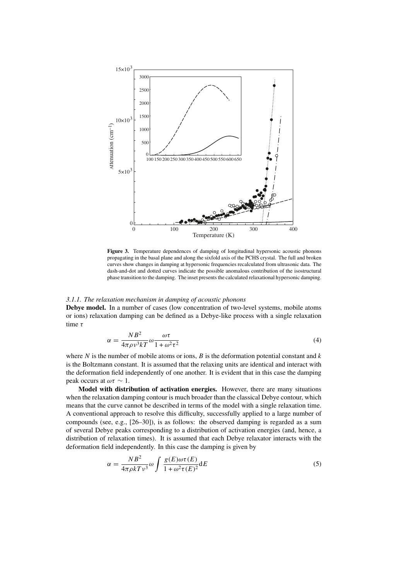

**Figure 3.** Temperature dependences of damping of longitudinal hypersonic acoustic phonons propagating in the basal plane and along the sixfold axis of the PCHS crystal. The full and broken curves show changes in damping at hypersonic frequencies recalculated from ultrasonic data. The dash-and-dot and dotted curves indicate the possible anomalous contribution of the isostructural phase transition to the damping. The inset presents the calculated relaxational hypersonic damping.

#### *3.1.1. The relaxation mechanism in damping of acoustic phonons*

**Debye model.** In a number of cases (low concentration of two-level systems, mobile atoms or ions) relaxation damping can be defined as a Debye-like process with a single relaxation time τ

$$
\alpha = \frac{N B^2}{4\pi \rho v^3 k T} \omega \frac{\omega \tau}{1 + \omega^2 \tau^2}
$$
\n(4)

where N is the number of mobile atoms or ions, B is the deformation potential constant and  $k$ is the Boltzmann constant. It is assumed that the relaxing units are identical and interact with the deformation field independently of one another. It is evident that in this case the damping peak occurs at  $\omega \tau \sim 1$ .

**Model with distribution of activation energies.** However, there are many situations when the relaxation damping contour is much broader than the classical Debye contour, which means that the curve cannot be described in terms of the model with a single relaxation time. A conventional approach to resolve this difficulty, successfully applied to a large number of compounds (see, e.g., [26–30]), is as follows: the observed damping is regarded as a sum of several Debye peaks corresponding to a distribution of activation energies (and, hence, a distribution of relaxation times). It is assumed that each Debye relaxator interacts with the deformation field independently. In this case the damping is given by

$$
\alpha = \frac{N B^2}{4\pi \rho k T v^3} \omega \int \frac{g(E)\omega \tau(E)}{1 + \omega^2 \tau(E)^2} dE
$$
\n(5)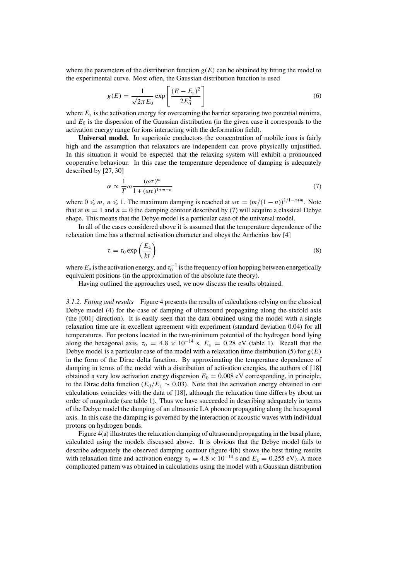where the parameters of the distribution function  $g(E)$  can be obtained by fitting the model to the experimental curve. Most often, the Gaussian distribution function is used

$$
g(E) = \frac{1}{\sqrt{2\pi}E_0} \exp\left[\frac{(E - E_a)^2}{2E_0^2}\right]
$$
 (6)

where  $E_a$  is the activation energy for overcoming the barrier separating two potential minima, and  $E_0$  is the dispersion of the Gaussian distribution (in the given case it corresponds to the activation energy range for ions interacting with the deformation field).

**Universal model.** In superionic conductors the concentration of mobile ions is fairly high and the assumption that relaxators are independent can prove physically unjustified. In this situation it would be expected that the relaxing system will exhibit a pronounced cooperative behaviour. In this case the temperature dependence of damping is adequately described by [27, 30]

$$
\alpha \propto \frac{1}{T} \omega \frac{(\omega \tau)^m}{1 + (\omega \tau)^{1+m-n}}
$$
\n(7)

where  $0 \le m$ ,  $n \le 1$ . The maximum damping is reached at  $\omega \tau = (m/(1-n))^{1/1-n+m}$ . Note that at  $m = 1$  and  $n = 0$  the damping contour described by (7) will acquire a classical Debye shape. This means that the Debye model is a particular case of the universal model.

In all of the cases considered above it is assumed that the temperature dependence of the relaxation time has a thermal activation character and obeys the Arrhenius law [4]

$$
\tau = \tau_0 \exp\left(\frac{E_a}{kt}\right) \tag{8}
$$

where  $E_a$  is the activation energy, and  $\tau_0^{-1}$  is the frequency of ion hopping between energetically equivalent positions (in the approximation of the absolute rate theory).

Having outlined the approaches used, we now discuss the results obtained.

*3.1.2. Fitting and results* Figure 4 presents the results of calculations relying on the classical Debye model (4) for the case of damping of ultrasound propagating along the sixfold axis (the [001] direction). It is easily seen that the data obtained using the model with a single relaxation time are in excellent agreement with experiment (standard deviation 0.04) for all temperatures. For protons located in the two-minimum potential of the hydrogen bond lying along the hexagonal axis,  $\tau_0 = 4.8 \times 10^{-14}$  s,  $E_a = 0.28$  eV (table 1). Recall that the Debye model is a particular case of the model with a relaxation time distribution (5) for  $g(E)$ in the form of the Dirac delta function. By approximating the temperature dependence of damping in terms of the model with a distribution of activation energies, the authors of [18] obtained a very low activation energy dispersion  $E_0 = 0.008 \text{ eV}$  corresponding, in principle, to the Dirac delta function ( $E_0/E_a \sim 0.03$ ). Note that the activation energy obtained in our calculations coincides with the data of [18], although the relaxation time differs by about an order of magnitude (see table 1). Thus we have succeeded in describing adequately in terms of the Debye model the damping of an ultrasonic LA phonon propagating along the hexagonal axis. In this case the damping is governed by the interaction of acoustic waves with individual protons on hydrogen bonds.

Figure 4(a) illustrates the relaxation damping of ultrasound propagating in the basal plane, calculated using the models discussed above. It is obvious that the Debye model fails to describe adequately the observed damping contour (figure 4(b) shows the best fitting results with relaxation time and activation energy  $\tau_0 = 4.8 \times 10^{-14}$  s and  $E_a = 0.255$  eV). A more complicated pattern was obtained in calculations using the model with a Gaussian distribution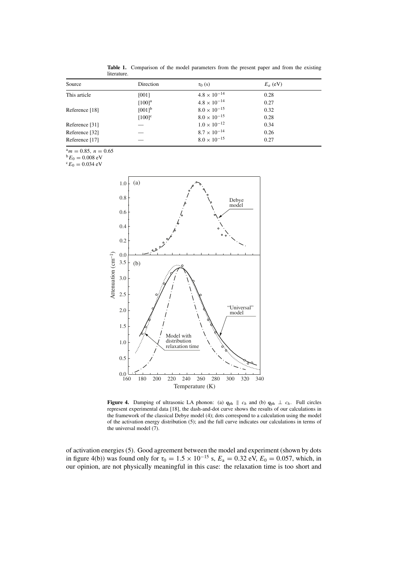| Source         | Direction            | $\tau_0$ (s)          | $E_a$ (eV) |
|----------------|----------------------|-----------------------|------------|
| This article   | [001]                | $4.8 \times 10^{-14}$ | 0.28       |
|                | $[100]$ <sup>a</sup> | $4.8 \times 10^{-14}$ | 0.27       |
| Reference [18] | $[001]$ <sup>b</sup> | $8.0 \times 10^{-15}$ | 0.32       |
|                | $[100]$ <sup>c</sup> | $8.0 \times 10^{-15}$ | 0.28       |
| Reference [31] |                      | $1.0 \times 10^{-12}$ | 0.34       |
| Reference [32] |                      | $8.7 \times 10^{-14}$ | 0.26       |
| Reference [17] |                      | $8.0 \times 10^{-15}$ | 0.27       |

**Table 1.** Comparison of the model parameters from the present paper and from the existing literature.

 ${}^{a}m = 0.85$ ,  $n = 0.65$ <br>  ${}^{b}E_{0} = 0.008$  eV<br>  ${}^{c}E_{0} = 0.034$  eV



**Figure 4.** Damping of ultrasonic LA phonon: (a)  $q_{ph} \parallel c_h$  and (b)  $q_{ph} \perp c_h$ . Full circles represent experimental data [18], the dash-and-dot curve shows the results of our calculations in the framework of the classical Debye model (4); dots correspond to a calculation using the model of the activation energy distribution (5); and the full curve indicates our calculations in terms of the universal model (7).

of activation energies (5). Good agreement between the model and experiment (shown by dots in figure 4(b)) was found only for  $\tau_0 = 1.5 \times 10^{-15}$  s,  $E_a = 0.32$  eV,  $E_0 = 0.057$ , which, in our opinion, are not physically meaningful in this case: the relaxation time is too short and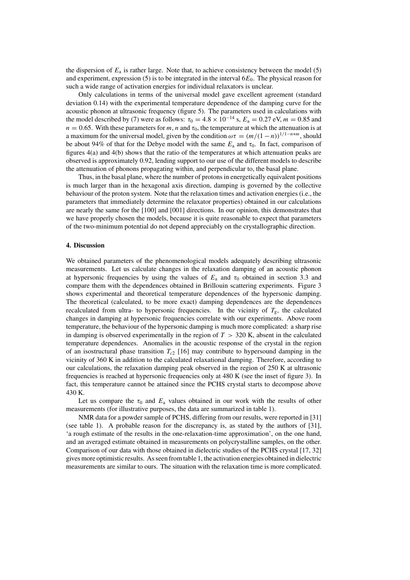the dispersion of  $E_a$  is rather large. Note that, to achieve consistency between the model (5) and experiment, expression (5) is to be integrated in the interval  $6E<sub>0</sub>$ . The physical reason for such a wide range of activation energies for individual relaxators is unclear.

Only calculations in terms of the universal model gave excellent agreement (standard deviation 0.14) with the experimental temperature dependence of the damping curve for the acoustic phonon at ultrasonic frequency (figure 5). The parameters used in calculations with the model described by (7) were as follows:  $\tau_0 = 4.8 \times 10^{-14}$  s,  $E_a = 0.27$  eV,  $m = 0.85$  and  $n = 0.65$ . With these parameters for m, n and  $\tau_0$ , the temperature at which the attenuation is at a maximum for the universal model, given by the condition  $\omega \tau = (m/(1-n))^{1/1-n+m}$ , should be about 94% of that for the Debye model with the same  $E_a$  and  $\tau_0$ . In fact, comparison of figures 4(a) and 4(b) shows that the ratio of the temperatures at which attenuation peaks are observed is approximately 0.92, lending support to our use of the different models to describe the attenuation of phonons propagating within, and perpendicular to, the basal plane.

Thus, in the basal plane, where the number of protons in energetically equivalent positions is much larger than in the hexagonal axis direction, damping is governed by the collective behaviour of the proton system. Note that the relaxation times and activation energies (i.e., the parameters that immediately determine the relaxator properties) obtained in our calculations are nearly the same for the [100] and [001] directions. In our opinion, this demonstrates that we have properly chosen the models, because it is quite reasonable to expect that parameters of the two-minimum potential do not depend appreciably on the crystallographic direction.

#### **4. Discussion**

We obtained parameters of the phenomenological models adequately describing ultrasonic measurements. Let us calculate changes in the relaxation damping of an acoustic phonon at hypersonic frequencies by using the values of  $E_a$  and  $\tau_0$  obtained in section 3.3 and compare them with the dependences obtained in Brillouin scattering experiments. Figure 3 shows experimental and theoretical temperature dependences of the hypersonic damping. The theoretical (calculated, to be more exact) damping dependences are the dependences recalculated from ultra- to hypersonic frequencies. In the vicinity of  $T<sub>g</sub>$ , the calculated changes in damping at hypersonic frequencies correlate with our experiments. Above room temperature, the behaviour of the hypersonic damping is much more complicated: a sharp rise in damping is observed experimentally in the region of  $T > 320$  K, absent in the calculated temperature dependences. Anomalies in the acoustic response of the crystal in the region of an isostructural phase transition  $T_{c2}$  [16] may contribute to hypersound damping in the vicinity of 360 K in addition to the calculated relaxational damping. Therefore, according to our calculations, the relaxation damping peak observed in the region of 250 K at ultrasonic frequencies is reached at hypersonic frequencies only at 480 K (see the inset of figure 3). In fact, this temperature cannot be attained since the PCHS crystal starts to decompose above 430 K.

Let us compare the  $\tau_0$  and  $E_a$  values obtained in our work with the results of other measurements (for illustrative purposes, the data are summarized in table 1).

NMR data for a powder sample of PCHS, differing from our results, were reported in [31] (see table 1). A probable reason for the discrepancy is, as stated by the authors of [31], 'a rough estimate of the results in the one-relaxation-time approximation', on the one hand, and an averaged estimate obtained in measurements on polycrystalline samples, on the other. Comparison of our data with those obtained in dielectric studies of the PCHS crystal [17, 32] gives more optimistic results. As seen from table 1, the activation energies obtained in dielectric measurements are similar to ours. The situation with the relaxation time is more complicated.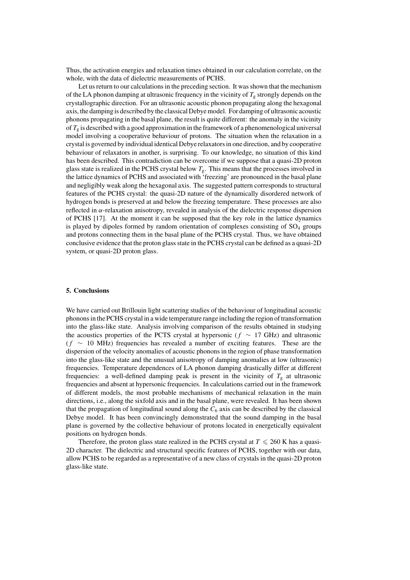Thus, the activation energies and relaxation times obtained in our calculation correlate, on the whole, with the data of dielectric measurements of PCHS.

Let us return to our calculations in the preceding section. It was shown that the mechanism of the LA phonon damping at ultrasonic frequency in the vicinity of  $T_g$  strongly depends on the crystallographic direction. For an ultrasonic acoustic phonon propagating along the hexagonal axis, the damping is described by the classical Debye model. For damping of ultrasonic acoustic phonons propagating in the basal plane, the result is quite different: the anomaly in the vicinity of  $T_g$  is described with a good approximation in the framework of a phenomenological universal model involving a cooperative behaviour of protons. The situation when the relaxation in a crystal is governed by individual identical Debye relaxators in one direction, and by cooperative behaviour of relaxators in another, is surprising. To our knowledge, no situation of this kind has been described. This contradiction can be overcome if we suppose that a quasi-2D proton glass state is realized in the PCHS crystal below  $T_{\rm g}$ . This means that the processes involved in the lattice dynamics of PCHS and associated with 'freezing' are pronounced in the basal plane and negligibly weak along the hexagonal axis. The suggested pattern corresponds to structural features of the PCHS crystal: the quasi-2D nature of the dynamically disordered network of hydrogen bonds is preserved at and below the freezing temperature. These processes are also reflected in  $\alpha$ -relaxation anisotropy, revealed in analysis of the dielectric response dispersion of PCHS [17]. At the moment it can be supposed that the key role in the lattice dynamics is played by dipoles formed by random orientation of complexes consisting of  $SO<sub>4</sub>$  groups and protons connecting them in the basal plane of the PCHS crystal. Thus, we have obtained conclusive evidence that the proton glass state in the PCHS crystal can be defined as a quasi-2D system, or quasi-2D proton glass.

#### **5. Conclusions**

We have carried out Brillouin light scattering studies of the behaviour of longitudinal acoustic phonons in the PCHS crystal in a wide temperature range including the region of transformation into the glass-like state. Analysis involving comparison of the results obtained in studying the acoustics properties of the PCTS crystal at hypersonic ( $f \sim 17$  GHz) and ultrasonic  $(f \sim 10 \text{ MHz})$  frequencies has revealed a number of exciting features. These are the dispersion of the velocity anomalies of acoustic phonons in the region of phase transformation into the glass-like state and the unusual anisotropy of damping anomalies at low (ultrasonic) frequencies. Temperature dependences of LA phonon damping drastically differ at different frequencies: a well-defined damping peak is present in the vicinity of  $T_g$  at ultrasonic frequencies and absent at hypersonic frequencies. In calculations carried out in the framework of different models, the most probable mechanisms of mechanical relaxation in the main directions, i.e., along the sixfold axis and in the basal plane, were revealed. It has been shown that the propagation of longitudinal sound along the  $C_6$  axis can be described by the classical Debye model. It has been convincingly demonstrated that the sound damping in the basal plane is governed by the collective behaviour of protons located in energetically equivalent positions on hydrogen bonds.

Therefore, the proton glass state realized in the PCHS crystal at  $T \le 260$  K has a quasi-2D character. The dielectric and structural specific features of PCHS, together with our data, allow PCHS to be regarded as a representative of a new class of crystals in the quasi-2D proton glass-like state.